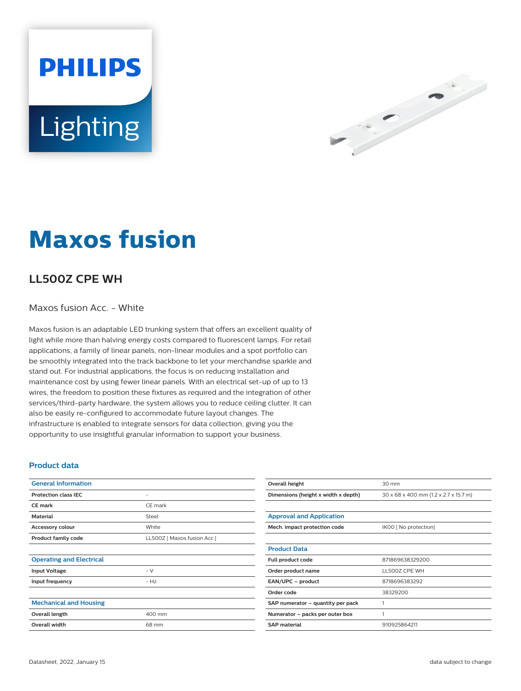Lighting

**PHILIPS** 



# **Maxos fusion**

## **LL500Z CPE WH**

#### Maxos fusion Acc. - White

Maxos fusion is an adaptable LED trunking system that offers an excellent quality of light while more than halving energy costs compared to fluorescent lamps. For retail applications, a family of linear panels, non-linear modules and a spot portfolio can be smoothly integrated into the track backbone to let your merchandise sparkle and stand out. For industrial applications, the focus is on reducing installation and maintenance cost by using fewer linear panels. With an electrical set-up of up to 13 wires, the freedom to position these fixtures as required and the integration of other services/third-party hardware, the system allows you to reduce ceiling clutter. It can also be easily re-configured to accommodate future layout changes. The infrastructure is enabled to integrate sensors for data collection, giving you the opportunity to use insightful granular information to support your business.

#### **Product data**

| <b>General Information</b>      |                             |  |
|---------------------------------|-----------------------------|--|
| <b>Protection class IEC</b>     | $\overline{\phantom{0}}$    |  |
| <b>CE</b> mark                  | CE mark                     |  |
| <b>Material</b>                 | Steel                       |  |
| <b>Accessory colour</b>         | White                       |  |
| <b>Product family code</b>      | LL500Z [ Maxos fusion Acc.] |  |
|                                 |                             |  |
| <b>Operating and Electrical</b> |                             |  |
| <b>Input Voltage</b>            | $- V$                       |  |
| Input frequency                 | $- Hz$                      |  |
|                                 |                             |  |
| <b>Mechanical and Housing</b>   |                             |  |
| Overall length                  | 400 mm                      |  |
| Overall width                   | 68 mm                       |  |
|                                 |                             |  |

| Overall height                      | 30 mm                                  |  |
|-------------------------------------|----------------------------------------|--|
| Dimensions (height x width x depth) | 30 x 68 x 400 mm (1.2 x 2.7 x 15.7 in) |  |
|                                     |                                        |  |
| <b>Approval and Application</b>     |                                        |  |
| Mech. impact protection code        | IK00 [ No protection]                  |  |
|                                     |                                        |  |
| <b>Product Data</b>                 |                                        |  |
| Full product code                   | 871869638329200                        |  |
| Order product name                  | LL500Z CPE WH                          |  |
| EAN/UPC - product                   | 8718696383292                          |  |
| Order code                          | 38329200                               |  |
| SAP numerator - quantity per pack   | 1                                      |  |
| Numerator - packs per outer box     | 1                                      |  |
| <b>SAP</b> material                 | 910925864211                           |  |